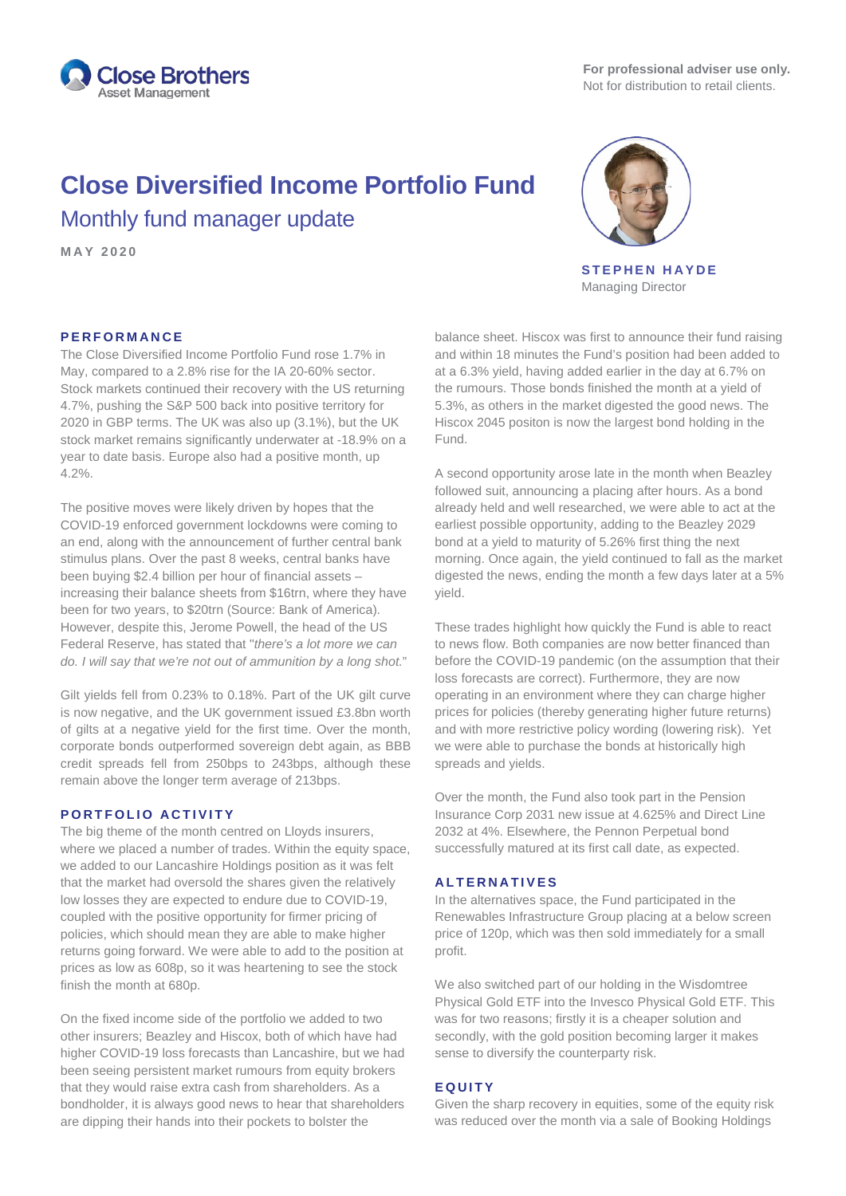

# **Close Diversified Income Portfolio Fund** Monthly fund manager update

**MAY 2020**



**STEPHEN HAYDE** Managing Director

# **PERFORMANCE**

The Close Diversified Income Portfolio Fund rose 1.7% in May, compared to a 2.8% rise for the IA 20-60% sector. Stock markets continued their recovery with the US returning 4.7%, pushing the S&P 500 back into positive territory for 2020 in GBP terms. The UK was also up (3.1%), but the UK stock market remains significantly underwater at -18.9% on a year to date basis. Europe also had a positive month, up 4.2%.

The positive moves were likely driven by hopes that the COVID-19 enforced government lockdowns were coming to an end, along with the announcement of further central bank stimulus plans. Over the past 8 weeks, central banks have been buying \$2.4 billion per hour of financial assets – increasing their balance sheets from \$16trn, where they have been for two years, to \$20trn (Source: Bank of America). However, despite this, Jerome Powell, the head of the US Federal Reserve, has stated that "*there's a lot more we can do. I will say that we're not out of ammunition by a long shot.*"

Gilt yields fell from 0.23% to 0.18%. Part of the UK gilt curve is now negative, and the UK government issued £3.8bn worth of gilts at a negative yield for the first time. Over the month, corporate bonds outperformed sovereign debt again, as BBB credit spreads fell from 250bps to 243bps, although these remain above the longer term average of 213bps.

## **PORTFOLIO ACTIVITY**

The big theme of the month centred on Lloyds insurers, where we placed a number of trades. Within the equity space, we added to our Lancashire Holdings position as it was felt that the market had oversold the shares given the relatively low losses they are expected to endure due to COVID-19, coupled with the positive opportunity for firmer pricing of policies, which should mean they are able to make higher returns going forward. We were able to add to the position at prices as low as 608p, so it was heartening to see the stock finish the month at 680p.

On the fixed income side of the portfolio we added to two other insurers; Beazley and Hiscox, both of which have had higher COVID-19 loss forecasts than Lancashire, but we had been seeing persistent market rumours from equity brokers that they would raise extra cash from shareholders. As a bondholder, it is always good news to hear that shareholders are dipping their hands into their pockets to bolster the

balance sheet. Hiscox was first to announce their fund raising and within 18 minutes the Fund's position had been added to at a 6.3% yield, having added earlier in the day at 6.7% on the rumours. Those bonds finished the month at a yield of 5.3%, as others in the market digested the good news. The Hiscox 2045 positon is now the largest bond holding in the Fund.

A second opportunity arose late in the month when Beazley followed suit, announcing a placing after hours. As a bond already held and well researched, we were able to act at the earliest possible opportunity, adding to the Beazley 2029 bond at a yield to maturity of 5.26% first thing the next morning. Once again, the yield continued to fall as the market digested the news, ending the month a few days later at a 5% yield.

These trades highlight how quickly the Fund is able to react to news flow. Both companies are now better financed than before the COVID-19 pandemic (on the assumption that their loss forecasts are correct). Furthermore, they are now operating in an environment where they can charge higher prices for policies (thereby generating higher future returns) and with more restrictive policy wording (lowering risk). Yet we were able to purchase the bonds at historically high spreads and yields.

Over the month, the Fund also took part in the Pension Insurance Corp 2031 new issue at 4.625% and Direct Line 2032 at 4%. Elsewhere, the Pennon Perpetual bond successfully matured at its first call date, as expected.

# **ALTERNATIVES**

In the alternatives space, the Fund participated in the Renewables Infrastructure Group placing at a below screen price of 120p, which was then sold immediately for a small profit.

We also switched part of our holding in the Wisdomtree Physical Gold ETF into the Invesco Physical Gold ETF. This was for two reasons; firstly it is a cheaper solution and secondly, with the gold position becoming larger it makes sense to diversify the counterparty risk.

### **EQUITY**

Given the sharp recovery in equities, some of the equity risk was reduced over the month via a sale of Booking Holdings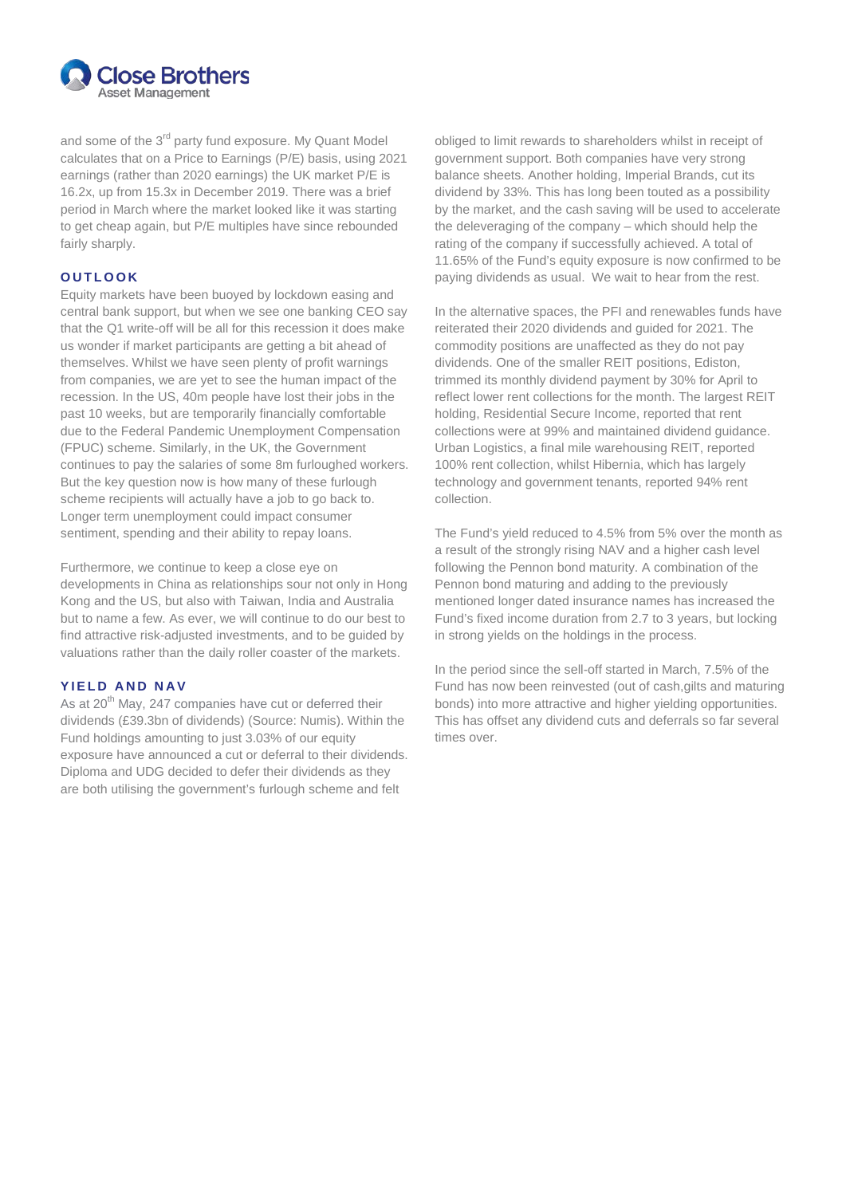

and some of the 3<sup>rd</sup> party fund exposure. My Quant Model calculates that on a Price to Earnings (P/E) basis, using 2021 earnings (rather than 2020 earnings) the UK market P/E is 16.2x, up from 15.3x in December 2019. There was a brief period in March where the market looked like it was starting to get cheap again, but P/E multiples have since rebounded fairly sharply.

# **OUTLOOK**

Equity markets have been buoyed by lockdown easing and central bank support, but when we see one banking CEO say that the Q1 write-off will be all for this recession it does make us wonder if market participants are getting a bit ahead of themselves. Whilst we have seen plenty of profit warnings from companies, we are yet to see the human impact of the recession. In the US, 40m people have lost their jobs in the past 10 weeks, but are temporarily financially comfortable due to the Federal Pandemic Unemployment Compensation (FPUC) scheme. Similarly, in the UK, the Government continues to pay the salaries of some 8m furloughed workers. But the key question now is how many of these furlough scheme recipients will actually have a job to go back to. Longer term unemployment could impact consumer sentiment, spending and their ability to repay loans.

Furthermore, we continue to keep a close eye on developments in China as relationships sour not only in Hong Kong and the US, but also with Taiwan, India and Australia but to name a few. As ever, we will continue to do our best to find attractive risk-adjusted investments, and to be guided by valuations rather than the daily roller coaster of the markets.

# **YIELD AND NAV**

As at 20<sup>th</sup> May, 247 companies have cut or deferred their dividends (£39.3bn of dividends) (Source: Numis). Within the Fund holdings amounting to just 3.03% of our equity exposure have announced a cut or deferral to their dividends. Diploma and UDG decided to defer their dividends as they are both utilising the government's furlough scheme and felt

obliged to limit rewards to shareholders whilst in receipt of government support. Both companies have very strong balance sheets. Another holding, Imperial Brands, cut its dividend by 33%. This has long been touted as a possibility by the market, and the cash saving will be used to accelerate the deleveraging of the company – which should help the rating of the company if successfully achieved. A total of 11.65% of the Fund's equity exposure is now confirmed to be paying dividends as usual. We wait to hear from the rest.

In the alternative spaces, the PFI and renewables funds have reiterated their 2020 dividends and guided for 2021. The commodity positions are unaffected as they do not pay dividends. One of the smaller REIT positions, Ediston, trimmed its monthly dividend payment by 30% for April to reflect lower rent collections for the month. The largest REIT holding, Residential Secure Income, reported that rent collections were at 99% and maintained dividend guidance. Urban Logistics, a final mile warehousing REIT, reported 100% rent collection, whilst Hibernia, which has largely technology and government tenants, reported 94% rent collection.

The Fund's yield reduced to 4.5% from 5% over the month as a result of the strongly rising NAV and a higher cash level following the Pennon bond maturity. A combination of the Pennon bond maturing and adding to the previously mentioned longer dated insurance names has increased the Fund's fixed income duration from 2.7 to 3 years, but locking in strong yields on the holdings in the process.

In the period since the sell-off started in March, 7.5% of the Fund has now been reinvested (out of cash,gilts and maturing bonds) into more attractive and higher yielding opportunities. This has offset any dividend cuts and deferrals so far several times over.